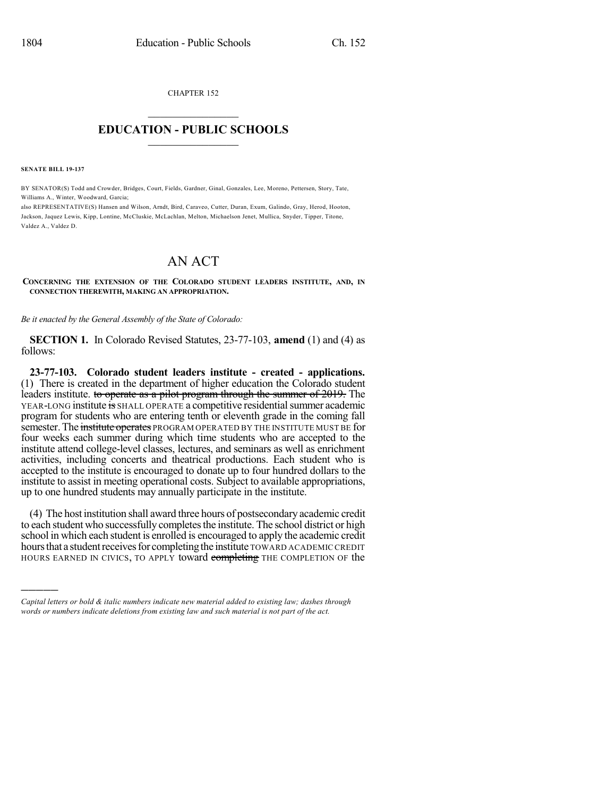CHAPTER 152  $\overline{\phantom{a}}$  . The set of the set of the set of the set of the set of the set of the set of the set of the set of the set of the set of the set of the set of the set of the set of the set of the set of the set of the set o

## **EDUCATION - PUBLIC SCHOOLS**  $\_$   $\_$   $\_$   $\_$   $\_$   $\_$   $\_$   $\_$   $\_$

**SENATE BILL 19-137**

)))))

BY SENATOR(S) Todd and Crowder, Bridges, Court, Fields, Gardner, Ginal, Gonzales, Lee, Moreno, Pettersen, Story, Tate, Williams A., Winter, Woodward, Garcia;

also REPRESENTATIVE(S) Hansen and Wilson, Arndt, Bird, Caraveo, Cutter, Duran, Exum, Galindo, Gray, Herod, Hooton, Jackson, Jaquez Lewis, Kipp, Lontine, McCluskie, McLachlan, Melton, Michaelson Jenet, Mullica, Snyder, Tipper, Titone, Valdez A., Valdez D.

## AN ACT

**CONCERNING THE EXTENSION OF THE COLORADO STUDENT LEADERS INSTITUTE, AND, IN CONNECTION THEREWITH, MAKING AN APPROPRIATION.**

*Be it enacted by the General Assembly of the State of Colorado:*

**SECTION 1.** In Colorado Revised Statutes, 23-77-103, **amend** (1) and (4) as follows:

**23-77-103. Colorado student leaders institute - created - applications.** (1) There is created in the department of higher education the Colorado student leaders institute. to operate as a pilot program through the summer of 2019. The YEAR-LONG institute is SHALL OPERATE a competitive residentialsummer academic program for students who are entering tenth or eleventh grade in the coming fall semester. The institute operates PROGRAM OPERATED BY THE INSTITUTE MUST BE for four weeks each summer during which time students who are accepted to the institute attend college-level classes, lectures, and seminars as well as enrichment activities, including concerts and theatrical productions. Each student who is accepted to the institute is encouraged to donate up to four hundred dollars to the institute to assist in meeting operational costs. Subject to available appropriations, up to one hundred students may annually participate in the institute.

(4) The host institution shall award three hours of postsecondary academic credit to each student who successfully completes the institute. The school district or high school in which each student is enrolled is encouraged to apply the academic credit hours that a student receives for completing the institute TOWARD ACADEMIC CREDIT HOURS EARNED IN CIVICS, TO APPLY toward completing THE COMPLETION OF the

*Capital letters or bold & italic numbers indicate new material added to existing law; dashes through words or numbers indicate deletions from existing law and such material is not part of the act.*